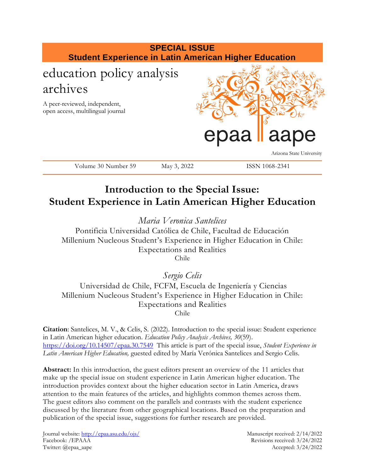

# **Introduction to the Special Issue: Student Experience in Latin American Higher Education**

*Maria Veronica Santelices*

Pontificia Universidad Católica de Chile, Facultad de Educación Millenium Nucleous Student's Experience in Higher Education in Chile: Expectations and Realities Chile

*Sergio Celis* 

Universidad de Chile, FCFM, Escuela de Ingeniería y Ciencias Millenium Nucleous Student's Experience in Higher Education in Chile: Expectations and Realities Chile

**Citation**: Santelices, M. V., & Celis, S. (2022). Introduction to the special issue: Student experience in Latin American higher education. *Education Policy Analysis Archives, 30*(59). <https://doi.org/10.14507/epaa.30.7549>This article is part of the special issue, *Student Experience in Latin American Higher Education,* guested edited by María Verónica Santelices and Sergio Celis.

**Abstract:** In this introduction, the guest editors present an overview of the 11 articles that make up the special issue on student experience in Latin American higher education. The introduction provides context about the higher education sector in Latin America, draws attention to the main features of the articles, and highlights common themes across them. The guest editors also comment on the parallels and contrasts with the student experience discussed by the literature from other geographical locations. Based on the preparation and publication of the special issue, suggestions for further research are provided.

Journal website:<http://epaa.asu.edu/ojs/> Manuscript received: 2/14/2022 Facebook: /EPAAA Revisions received: 3/24/2022 Twitter: @epaa\_aape Accepted: 3/24/2022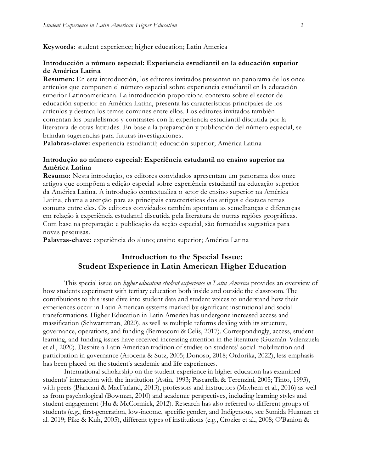**Keywords**: student experience; higher education; Latin America

#### **Introducción a número especial: Experiencia estudiantil en la educación superior de América Latina**

**Resumen:** En esta introducción, los editores invitados presentan un panorama de los once artículos que componen el número especial sobre experiencia estudiantil en la educación superior Latinoamericana. La introducción proporciona contexto sobre el sector de educación superior en América Latina, presenta las características principales de los artículos y destaca los temas comunes entre ellos. Los editores invitados también comentan los paralelismos y contrastes con la experiencia estudiantil discutida por la literatura de otras latitudes. En base a la preparación y publicación del número especial, se brindan sugerencias para futuras investigaciones.

**Palabras-clave:** experiencia estudiantil; educación superior; América Latina

#### **Introdução ao número especial: Experiência estudantil no ensino superior na América Latina**

**Resumo:** Nesta introdução, os editores convidados apresentam um panorama dos onze artigos que compõem a edição especial sobre experiência estudantil na educação superior da América Latina. A introdução contextualiza o setor de ensino superior na América Latina, chama a atenção para as principais características dos artigos e destaca temas comuns entre eles. Os editores convidados também apontam as semelhanças e diferenças em relação à experiência estudantil discutida pela literatura de outras regiões geográficas. Com base na preparação e publicação da seção especial, são fornecidas sugestões para novas pesquisas.

**Palavras-chave:** experiência do aluno; ensino superior; América Latina

### **Introduction to the Special Issue: Student Experience in Latin American Higher Education**

This special issue on *higher education student experience in Latin America* provides an overview of how students experiment with tertiary education both inside and outside the classroom. The contributions to this issue dive into student data and student voices to understand how their experiences occur in Latin American systems marked by significant institutional and social transformations. Higher Education in Latin America has undergone increased access and massification (Schwartzman, 2020), as well as multiple reforms dealing with its structure, governance, operations, and funding (Bernasconi & Celis, 2017). Correspondingly, access, student learning, and funding issues have received increasing attention in the literature (Guzmán-Valenzuela et al., 2020). Despite a Latin American tradition of studies on students' social mobilization and participation in governance (Arocena & Sutz, 2005; Donoso, 2018; Ordorika, 2022), less emphasis has been placed on the student's academic and life experiences.

International scholarship on the student experience in higher education has examined students' interaction with the institution (Astin, 1993; Pascarella & Terenzini, 2005; Tinto, 1993), with peers (Biancani & MacFarland, 2013), professors and instructors (Mayhem et al., 2016) as well as from psychological (Bowman, 2010) and academic perspectives, including learning styles and student engagement (Hu & McCormick, 2012). Research has also referred to different groups of students (e.g., first-generation, low-income, specific gender, and Indigenous, see Sumida Huaman et al. 2019; Pike & Kuh, 2005), different types of institutions (e.g., Crozier et al., 2008; O'Banion &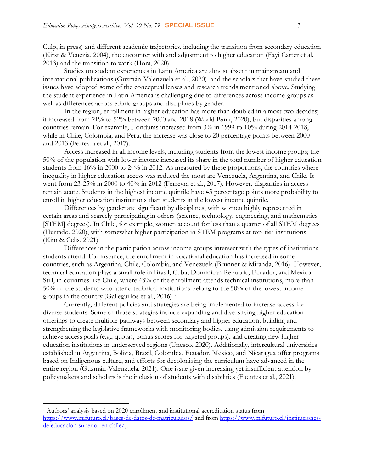Culp, in press) and different academic trajectories, including the transition from secondary education (Kirst & Venezia, 2004), the encounter with and adjustment to higher education (Fayi Carter et al. 2013) and the transition to work (Hora, 2020).

Studies on student experiences in Latin America are almost absent in mainstream and international publications (Guzmán-Valenzuela et al., 2020), and the scholars that have studied these issues have adopted some of the conceptual lenses and research trends mentioned above. Studying the student experience in Latin America is challenging due to differences across income groups as well as differences across ethnic groups and disciplines by gender.

In the region, enrollment in higher education has more than doubled in almost two decades; it increased from 21% to 52% between 2000 and 2018 (World Bank, 2020), but disparities among countries remain. For example, Honduras increased from 3% in 1999 to 10% during 2014-2018, while in Chile, Colombia, and Peru, the increase was close to 20 percentage points between 2000 and 2013 (Ferreyra et al., 2017).

Access increased in all income levels, including students from the lowest income groups; the 50% of the population with lower income increased its share in the total number of higher education students from 16% in 2000 to 24% in 2012. As measured by these proportions, the countries where inequality in higher education access was reduced the most are Venezuela, Argentina, and Chile. It went from 23-25% in 2000 to 40% in 2012 (Ferreyra et al., 2017). However, disparities in access remain acute. Students in the highest income quintile have 45 percentage points more probability to enroll in higher education institutions than students in the lowest income quintile.

Differences by gender are significant by disciplines, with women highly represented in certain areas and scarcely participating in others (science, technology, engineering, and mathematics [STEM] degrees). In Chile, for example, women account for less than a quarter of all STEM degrees (Hurtado, 2020), with somewhat higher participation in STEM programs at top-tier institutions (Kim & Celis, 2021).

Differences in the participation across income groups intersect with the types of institutions students attend. For instance, the enrollment in vocational education has increased in some countries, such as Argentina, Chile, Colombia, and Venezuela (Brunner & Miranda, 2016). However, technical education plays a small role in Brasil, Cuba, Dominican Republic, Ecuador, and Mexico. Still, in countries like Chile, where 43% of the enrollment attends technical institutions, more than 50% of the students who attend technical institutions belong to the 50% of the lowest income groups in the country (Galleguillos et al.,  $2016$ ).<sup>1</sup>

Currently, different policies and strategies are being implemented to increase access for diverse students. Some of those strategies include expanding and diversifying higher education offerings to create multiple pathways between secondary and higher education, building and strengthening the legislative frameworks with monitoring bodies, using admission requirements to achieve access goals (e.g., quotas, bonus scores for targeted groups), and creating new higher education institutions in underserved regions (Unesco, 2020). Additionally, intercultural universities established in Argentina, Bolivia, Brazil, Colombia, Ecuador, Mexico, and Nicaragua offer programs based on Indigenous culture, and efforts for decolonizing the curriculum have advanced in the entire region (Guzmán-Valenzuela, 2021). One issue given increasing yet insufficient attention by policymakers and scholars is the inclusion of students with disabilities (Fuentes et al., 2021).

 $\overline{a}$ 

<sup>1</sup> Authors' analysis based on 2020 enrollment and institutional accreditation status from <https://www.mifuturo.cl/bases-de-datos-de-matriculados/> and fro[m https://www.mifuturo.cl/instituciones](https://www.mifuturo.cl/instituciones-de-educacion-superior-en-chile/)[de-educacion-superior-en-chile/\)](https://www.mifuturo.cl/instituciones-de-educacion-superior-en-chile/).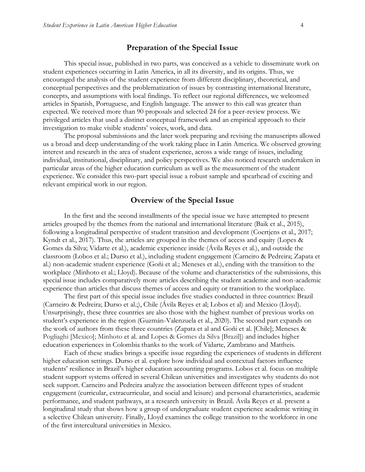#### **Preparation of the Special Issue**

This special issue, published in two parts, was conceived as a vehicle to disseminate work on student experiences occurring in Latin America, in all its diversity, and its origins. Thus, we encouraged the analysis of the student experience from different disciplinary, theoretical, and conceptual perspectives and the problematization of issues by contrasting international literature, concepts, and assumptions with local findings. To reflect our regional differences, we welcomed articles in Spanish, Portuguese, and English language. The answer to this call was greater than expected. We received more than 90 proposals and selected 24 for a peer-review process. We privileged articles that used a distinct conceptual framework and an empirical approach to their investigation to make visible students' voices, work, and data.

The proposal submissions and the later work preparing and revising the manuscripts allowed us a broad and deep understanding of the work taking place in Latin America. We observed growing interest and research in the area of student experience, across a wide range of issues, including individual, institutional, disciplinary, and policy perspectives. We also noticed research undertaken in particular areas of the higher education curriculum as well as the measurement of the student experience. We consider this two-part special issue a robust sample and spearhead of exciting and relevant empirical work in our region.

#### **Overview of the Special Issue**

In the first and the second installments of the special issue we have attempted to present articles grouped by the themes from the national and international literature (Baik et al., 2015), following a longitudinal perspective of student transition and development (Coertjens et al., 2017; Kyndt et al., 2017). Thus, the articles are grouped in the themes of access and equity (Lopes & Gomes da Silva; Vidarte et al.), academic experience inside (Ávila Reyes et al.), and outside the classroom (Lobos et al.; Durso et al.), including student engagement (Carneiro & Pedreira; Zapata et al.) non-academic student experience (Goñi et al.; Meneses et al.), ending with the transition to the workplace (Minhoto et al.; Lloyd). Because of the volume and characteristics of the submissions, this special issue includes comparatively more articles describing the student academic and non-academic experience than articles that discuss themes of access and equity or transition to the workplace.

The first part of this special issue includes five studies conducted in three countries: Brazil (Carneiro & Pedreira; Durso et al.;), Chile (Ávila Reyes et al; Lobos et al) and Mexico (Lloyd). Unsurprisingly, these three countries are also those with the highest number of previous works on student's experience in the region (Guzmán-Valenzuela et al., 2020). The second part expands on the work of authors from these three countries (Zapata et al and Goñi et al. [Chile]; Meneses & Pogliaghi [Mexico]; Minhoto et al. and Lopes & Gomes da Silva [Brazil]) and includes higher education experiences in Colombia thanks to the work of Vidarte, Zambrano and Mattheis.

Each of these studies brings a specific issue regarding the experiences of students in different higher education settings. Durso et al. explore how individual and contextual factors influence students' resilience in Brazil's higher education accounting programs. Lobos et al. focus on multiple student support systems offered in several Chilean universities and investigates why students do not seek support. Carneiro and Pedreira analyze the association between different types of student engagement (curricular, extracurricular, and social and leisure) and personal characteristics, academic performance, and student pathways, at a research university in Brazil. Ávila Reyes et al. present a longitudinal study that shows how a group of undergraduate student experience academic writing in a selective Chilean university. Finally, Lloyd examines the college transition to the workforce in one of the first intercultural universities in Mexico.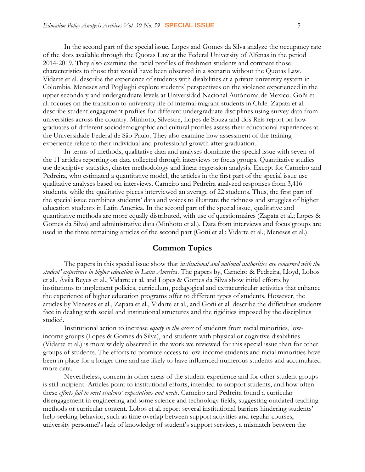In the second part of the special issue, Lopes and Gomes da Silva analyze the occupancy rate of the slots available through the Quotas Law at the Federal University of Alfenas in the period 2014-2019. They also examine the racial profiles of freshmen students and compare those characteristics to those that would have been observed in a scenario without the Quotas Law. Vidarte et al. describe the experience of students with disabilities at a private university system in Colombia. Meneses and Pogliaghi explore students' perspectives on the violence experienced in the upper secondary and undergraduate levels at Universidad Nacional Autónoma de Mexico. Goñi et al. focuses on the transition to university life of internal migrant students in Chile. Zapata et al. describe student engagement profiles for different undergraduate disciplines using survey data from universities across the country. Minhoto, Silvestre, Lopes de Souza and dos Reis report on how graduates of different sociodemographic and cultural profiles assess their educational experiences at the Universidade Federal de São Paulo. They also examine how assessment of the training experience relate to their individual and professional growth after graduation.

In terms of methods, qualitative data and analyses dominate the special issue with seven of the 11 articles reporting on data collected through interviews or focus groups. Quantitative studies use descriptive statistics, cluster methodology and linear regression analysis. Except for Carneiro and Pedreira, who estimated a quantitative model, the articles in the first part of the special issue use qualitative analyses based on interviews. Carneiro and Pedreira analyzed responses from 3,416 students, while the qualitative pieces interviewed an average of 22 students. Thus, the first part of the special issue combines students' data and voices to illustrate the richness and struggles of higher education students in Latin America. In the second part of the special issue, qualitative and quantitative methods are more equally distributed, with use of questionnaires (Zapata et al.; Lopes & Gomes da Silva) and administrative data (Minhoto et al.). Data from interviews and focus groups are used in the three remaining articles of the second part (Goñi et al.; Vidarte et al.; Meneses et al.).

#### **Common Topics**

The papers in this special issue show that *institutional and national authorities are concerned with the student' experience in higher education in Latin America*. The papers by, Carneiro & Pedreira, Lloyd, Lobos et al., Ávila Reyes et al., Vidarte et al. and Lopes & Gomes da Silva show initial efforts by institutions to implement policies, curriculum, pedagogical and extracurricular activities that enhance the experience of higher education programs offer to different types of students. However, the articles by Meneses et al., Zapata et al., Vidarte et al., and Goñi et al. describe the difficulties students face in dealing with social and institutional structures and the rigidities imposed by the disciplines studied.

Institutional action to increase *equity in the access* of students from racial minorities, lowincome groups (Lopes & Gomes da Silva), and students with physical or cognitive disabilities (Vidarte et al.) is more widely observed in the work we reviewed for this special issue than for other groups of students. The efforts to promote access to low-income students and racial minorities have been in place for a longer time and are likely to have influenced numerous students and accumulated more data.

Nevertheless, concern in other areas of the student experience and for other student groups is still incipient. Articles point to institutional efforts, intended to support students, and how often these *efforts fail to meet students' expectations and needs*. Carneiro and Pedreira found a curricular disengagement in engineering and some science and technology fields, suggesting outdated teaching methods or curricular content. Lobos et al. report several institutional barriers hindering students' help-seeking behavior, such as time overlap between support activities and regular courses, university personnel's lack of knowledge of student's support services, a mismatch between the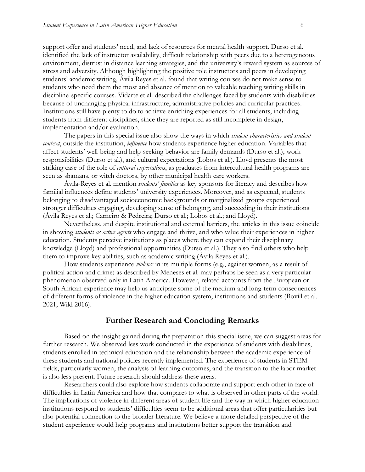support offer and students' need, and lack of resources for mental health support. Durso et al. identified the lack of instructor availability, difficult relationship with peers due to a heterogeneous environment, distrust in distance learning strategies, and the university's reward system as sources of stress and adversity. Although highlighting the positive role instructors and peers in developing students' academic writing, Ávila Reyes et al. found that writing courses do not make sense to students who need them the most and absence of mention to valuable teaching writing skills in discipline-specific courses. Vidarte et al. described the challenges faced by students with disabilities because of unchanging physical infrastructure, administrative policies and curricular practices. Institutions still have plenty to do to achieve enriching experiences for all students, including students from different disciplines, since they are reported as still incomplete in design, implementation and/or evaluation.

The papers in this special issue also show the ways in which *student characteristics and student context*, outside the institution, *influence* how students experience higher education. Variables that affect students' well-being and help-seeking behavior are family demands (Durso et al.), work responsibilities (Durso et al.), and cultural expectations (Lobos et al.). Lloyd presents the most striking case of the role of *cultural expectations*, as graduates from intercultural health programs are seen as shamans, or witch doctors, by other municipal health care workers.

Ávila-Reyes et al. mention *students' families* as key sponsors for literacy and describes how familial influences define students' university experiences. Moreover, and as expected, students belonging to disadvantaged socioeconomic backgrounds or marginalized groups experienced stronger difficulties engaging, developing sense of belonging, and succeeding in their institutions (Ávila Reyes et al.; Carneiro & Pedreira; Durso et al.; Lobos et al.; and Lloyd).

Nevertheless, and despite institutional and external barriers, the articles in this issue coincide in showing *students as active agents* who engage and thrive, and who value their experiences in higher education. Students perceive institutions as places where they can expand their disciplinary knowledge (Lloyd) and professional opportunities (Durso et al.). They also find others who help them to improve key abilities, such as academic writing (Ávila Reyes et al.).

How students experience *violence* in its multiple forms (e.g., against women, as a result of political action and crime) as described by Meneses et al. may perhaps be seen as a very particular phenomenon observed only in Latin America. However, related accounts from the European or South African experience may help us anticipate some of the medium and long-term consequences of different forms of violence in the higher education system, institutions and students (Bovill et al. 2021; Wild 2016).

#### **Further Research and Concluding Remarks**

Based on the insight gained during the preparation this special issue, we can suggest areas for further research. We observed less work conducted in the experience of students with disabilities, students enrolled in technical education and the relationship between the academic experience of these students and national policies recently implemented. The experience of students in STEM fields, particularly women, the analysis of learning outcomes, and the transition to the labor market is also less present. Future research should address these areas.

Researchers could also explore how students collaborate and support each other in face of difficulties in Latin America and how that compares to what is observed in other parts of the world. The implications of violence in different areas of student life and the way in which higher education institutions respond to students' difficulties seem to be additional areas that offer particularities but also potential connection to the broader literature. We believe a more detailed perspective of the student experience would help programs and institutions better support the transition and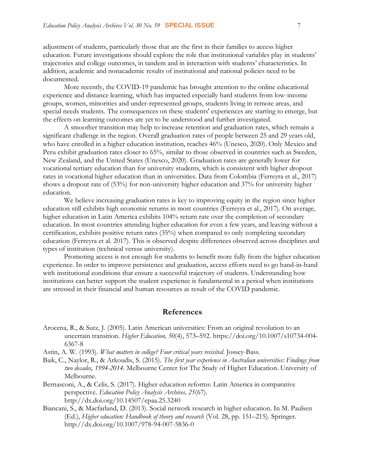adjustment of students, particularly those that are the first in their families to access higher education. Future investigations should explore the role that institutional variables play in students' trajectories and college outcomes, in tandem and in interaction with students' characteristics. In addition, academic and nonacademic results of institutional and national policies need to be documented.

More recently, the COVID-19 pandemic has brought attention to the online educational experience and distance learning, which has impacted especially hard students from low-income groups, women, minorities and under-represented groups, students living in remote areas, and special needs students. The consequences on these students' experiences are starting to emerge, but the effects on learning outcomes are yet to be understood and further investigated.

A smoother transition may help to increase retention and graduation rates, which remain a significant challenge in the region. Overall graduation rates of people between 25 and 29 years old, who have enrolled in a higher education institution, reaches 46% (Unesco, 2020). Only Mexico and Peru exhibit graduation rates closer to 65%, similar to those observed in countries such as Sweden, New Zealand, and the United States (Unesco, 2020). Graduation rates are generally lower for vocational tertiary education than for university students, which is consistent with higher dropout rates in vocational higher education than in universities. Data from Colombia (Ferreyra et al., 2017) shows a dropout rate of (53%) for non-university higher education and 37% for university higher education.

We believe increasing graduation rates is key to improving equity in the region since higher education still exhibits high economic returns in most countries (Ferreyra et al., 2017). On average, higher education in Latin America exhibits 104% return rate over the completion of secondary education. In most countries attending higher education for even a few years, and leaving without a certification, exhibits positive return rates (35%) when compared to only completing secondary education (Ferreyra et al. 2017). This is observed despite differences observed across disciplines and types of institution (technical versus university).

Promoting access is not enough for students to benefit more fully from the higher education experience. In order to improve persistence and graduation, access efforts need to go hand-in-hand with institutional conditions that ensure a successful trajectory of students. Understanding how institutions can better support the student experience is fundamental in a period when institutions are stressed in their financial and human resources as result of the COVID pandemic.

#### **References**

- Arocena, R., & Sutz, J. (2005). Latin American universities: From an original revolution to an uncertain transition. *Higher Education, 50*(4), 573–592. [https://doi.org/10.1007/s10734-004-](https://doi.org/10.1007/s10734-004-6367-8) [6367-8](https://doi.org/10.1007/s10734-004-6367-8)
- Astin, A. W. (1993). *What matters in college? Four critical years revisited*. Jossey-Bass.
- Baik, C., Naylor, R., & Arkoudis, S. (2015). *The first year experience in Australian universities: Findings from two decades, 1994-2014.* Melbourne Center for The Study of Higher Education. University of Melbourne.
- Bernasconi, A., & Celis, S. (2017). Higher education reforms: Latin America in comparative perspective. *Education Policy Analysis Archives, 25*(67). http://dx.doi.org/10.14507/epaa.25.3240
- Biancani, S., & Macfarland, D. (2013). Social network research in higher education. In M. Paulsen (Ed.), *Higher education: Handbook of theory and research* (Vol. 28, pp. 151–215). Springer. <http://dx.doi.org/10.1007/978-94-007-5836-0>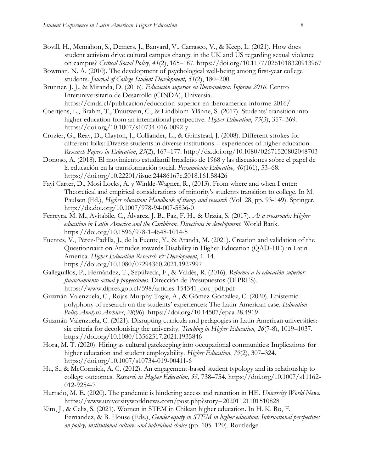- Bovill, H., Mcmahon, S., Demers, J., Banyard, V., Carrasco, V., & Keep, L. (2021). How does student activism drive cultural campus change in the UK and US regarding sexual violence on campus? *Critical Social Policy*, *41*(2), 165–187.<https://doi.org/10.1177/0261018320913967>
- Bowman, N. A. (2010). The development of psychological well-being among first-year college students. *Journal of College Student Development, 51*(2), 180–200.
- Brunner, J. J., & Miranda, D. (2016). *Educación superior en Iberoamérica: Informe 2016*. Centro Interuniversitario de Desarrollo (CINDA), Universia. <https://cinda.cl/publicacion/educacion-superior-en-iberoamerica-informe-2016/>
- Coertjens, L., Brahm, T., Trautwein, C., & Lindblom-Ylänne, S. (2017). Students' transition into higher education from an international perspective. *Higher Education*, *73*(3), 357–369. <https://doi.org/10.1007/s10734-016-0092-y>
- Crozier, G., Reay, D., Clayton, J., Colliander, L., & Grinstead, J. (2008). Different strokes for different folks: Diverse students in diverse institutions – experiences of higher education. *Research Papers in Education*, *23*(2), 167–177.<http://dx.doi.org/10.1080/02671520802048703>
- Donoso, A. (2018). El movimiento estudiantil brasileño de 1968 y las discusiones sobre el papel de la educación en la transformación social. *Pensamiento Educativo, 40*(161), 53–68. <https://doi.org/10.22201/iisue.24486167e.2018.161.58426>
- Fayi Carter, D., Mosi Locks, A. y Winkle-Wagner, R., (2013). From where and when I enter: Theoretical and empirical considerations of minority's students transition to college. In M. Paulsen (Ed.), *Higher education: Handbook of theory and research* (Vol. 28, pp. 93-149). Springer. <http://dx.doi.org/10.1007/978-94-007-5836-0>
- Ferreyra, M. M., Avitabile, C., Álvarez, J. B., Paz, F. H., & Urzúa, S. (2017). *At a crossroads: Higher education in Latin America and the Caribbean. Directions in development.* World Bank. <https://doi.org/10.1596/978-1-4648-1014-5>
- Fuentes, V., Pérez-Padilla, J., de la Fuente, Y., & Aranda, M. (2021). Creation and validation of the Questionnaire on Attitudes towards Disability in Higher Education (QAD-HE) in Latin America. *Higher Education Research & Development*, 1–14. <https://doi.org/10.1080/07294360.2021.1927997>
- Galleguillos, P., Hernández, T., Sepúlveda, F., & Valdés, R. (2016). *Reforma a la educación superior: financiamiento actual y proyecciones*. Dirección de Presupuestos (DIPRES). [https://www.dipres.gob.cl/598/articles-154341\\_doc\\_pdf.pdf](https://www.dipres.gob.cl/598/articles-154341_doc_pdf.pdf)
- Guzmán-Valenzuela, C., Rojas-Murphy Tagle, A., & Gómez-González, C. (2020). Epistemic polyphony of research on the students' experiences: The Latin-American case. *Education Policy Analysis Archives*, *28*(96). <https://doi.org/10.14507/epaa.28.4919>
- Guzmán-Valenzuela, C. (2021). Disrupting curricula and pedagogies in Latin American universities: six criteria for decolonising the university. *Teaching in Higher Education, 26*(7-8), 1019–1037. <https://doi.org/10.1080/13562517.2021.1935846>
- Hora, M. T. (2020). Hiring as cultural gatekeeping into occupational communities: Implications for higher education and student employability. *Higher Education*, *79*(2), 307–324. <https://doi.org/10.1007/s10734-019-00411-6>
- Hu, S., & McCormick, A. C. (2012). An engagement-based student typology and its relationship to college outcomes. *Research in Higher Education, 53,* 738–754. [https://doi.org/10.1007/s11162-](https://doi.org/10.1007/s11162-012-9254-7) [012-9254-7](https://doi.org/10.1007/s11162-012-9254-7)
- Hurtado, M. E. (2020). The pandemic is hindering access and retention in HE. *University World News.* <https://www.universityworldnews.com/post.php?story=20201121101510828>
- Kim, J., & Celis, S. (2021). Women in STEM in Chilean higher education. In H. K. Ro, F. Fernandez, & B. House (Eds.), *Gender equity in STEM in higher education: International perspectives on policy, institutional culture, and individual choice* (pp. 105–120). Routledge.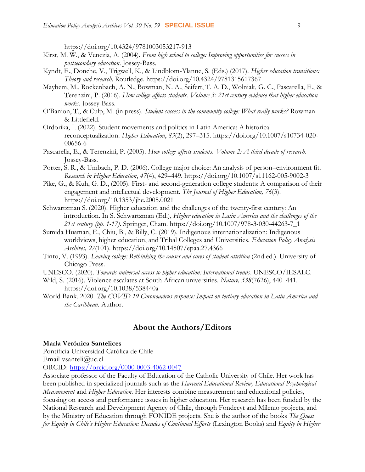<https://doi.org/10.4324/9781003053217-913>

- Kirst, M. W., & Venezia, A. (2004). *From high school to college: Improving opportunities for success in postsecondary education*. Jossey-Bass.
- Kyndt, E., Donche, V., Trigwell, K., & Lindblom-Ylanne, S. (Eds.) (2017). *Higher education transitions: Theory and research*. Routledge.<https://doi.org/10.4324/9781315617367>
- Mayhem, M., Rockenbach, A. N., Bowman, N. A., Seifert, T. A. D., Wolniak, G. C., Pascarella, E., & Terenzini, P. (2016). *How college affects students. Volume 3: 21st century evidence that higher education works*. Jossey-Bass.
- O'Banion, T., & Culp, M. (in press). *Student success in the community college: What really works?* Rowman & Littlefield.
- Ordorika, I. (2022). Student movements and politics in Latin America: A historical reconceptualization. *Higher Education*, *83*(2), 297–315. [https://doi.org/10.1007/s10734-020-](https://doi.org/10.1007/s10734-020-00656-6) [00656-6](https://doi.org/10.1007/s10734-020-00656-6)
- Pascarella, E., & Terenzini, P. (2005). *How college affects students. Volume 2: A third decade of research*. Jossey-Bass.
- Porter, S. R., & Umbach, P. D. (2006). College major choice: An analysis of person–environment fit. *Research in Higher Education*, *47*(4), 429–449.<https://doi.org/10.1007/s11162-005-9002-3>
- Pike, G., & Kuh, G. D., (2005). First- and second-generation college students: A comparison of their engagement and intellectual development. *The Journal of Higher Education, 76*(3). <https://doi.org/10.1353/jhe.2005.0021>
- Schwartzman S. (2020). Higher education and the challenges of the twenty-first century: An introduction. In S. Schwartzman (Ed.), *Higher education in Latin America and the challenges of the 21st century (pp. 1-17)*. Springer, Cham. [https://doi.org/10.1007/978-3-030-44263-7\\_1](https://doi.org/10.1007/978-3-030-44263-7_1)
- Sumida Huaman, E., Chiu, B., & Billy, C. (2019). Indigenous internationalization: Indigenous worldviews, higher education, and Tribal Colleges and Universities. *Education Policy Analysis Archives, 27*(101).<https://doi.org/10.14507/epaa.27.4366>
- Tinto, V. (1993). *Leaving college: Rethinking the causes and cures of student attrition* (2nd ed.). University of Chicago Press.
- UNESCO. (2020). *Towards universal access to higher education: International trends*. UNESCO/IESALC.
- Wild, S. (2016). Violence escalates at South African universities. *Nature, 538*(7626), 440–441. <https://doi.org/10.1038/538440a>
- World Bank. 2020. *The COVID-19 Coronoavirus response: Impact on tertiary education in Latin America and the Caribbean.* Author.

#### **About the Authors/Editors**

#### **María Verónica Santelices**

Pontificia Universidad Católica de Chile

Email vsanteli@uc.cl

ORCID:<https://orcid.org/0000-0003-4062-0047>

Associate professor of the Faculty of Education of the Catholic University of Chile. Her work has been published in specialized journals such as the *Harvard Educational Review, Educational Psychological Measurement* and *Higher Education*. Her interests combine measurement and educational policies, focusing on access and performance issues in higher education. Her research has been funded by the National Research and Development Agency of Chile, through Fondecyt and Milenio projects, and by the Ministry of Education through FONIDE projects. She is the author of the books *The Quest for Equity in Chile's Higher Education: Decades of Continued Efforts* (Lexington Books) and *Equity in Higher*